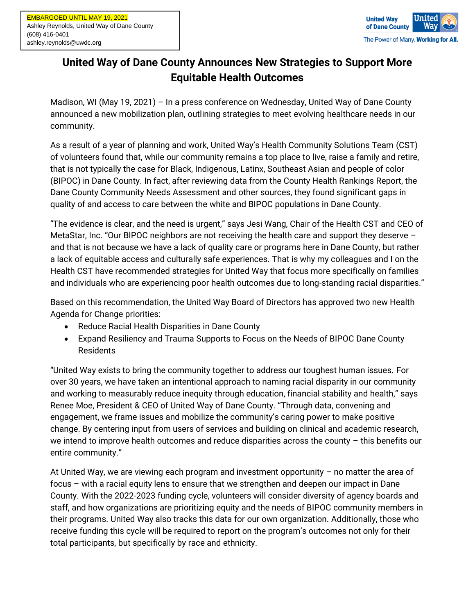

## **United Way of Dane County Announces New Strategies to Support More Equitable Health Outcomes**

Madison, WI (May 19, 2021) – In a press conference on Wednesday, United Way of Dane County announced a new mobilization plan, outlining strategies to meet evolving healthcare needs in our community.

As a result of a year of planning and work, United Way's Health Community Solutions Team (CST) of volunteers found that, while our community remains a top place to live, raise a family and retire, that is not typically the case for Black, Indigenous, Latinx, Southeast Asian and people of color (BIPOC) in Dane County. In fact, after reviewing data from the County Health Rankings Report, the Dane County Community Needs Assessment and other sources, they found significant gaps in quality of and access to care between the white and BIPOC populations in Dane County.

"The evidence is clear, and the need is urgent," says Jesi Wang, Chair of the Health CST and CEO of MetaStar, Inc. "Our BIPOC neighbors are not receiving the health care and support they deserve and that is not because we have a lack of quality care or programs here in Dane County, but rather a lack of equitable access and culturally safe experiences. That is why my colleagues and I on the Health CST have recommended strategies for United Way that focus more specifically on families and individuals who are experiencing poor health outcomes due to long-standing racial disparities."

Based on this recommendation, the United Way Board of Directors has approved two new Health Agenda for Change priorities:

- Reduce Racial Health Disparities in Dane County
- Expand Resiliency and Trauma Supports to Focus on the Needs of BIPOC Dane County Residents

"United Way exists to bring the community together to address our toughest human issues. For over 30 years, we have taken an intentional approach to naming racial disparity in our community and working to measurably reduce inequity through education, financial stability and health," says Renee Moe, President & CEO of United Way of Dane County. "Through data, convening and engagement, we frame issues and mobilize the community's caring power to make positive change. By centering input from users of services and building on clinical and academic research, we intend to improve health outcomes and reduce disparities across the county  $-$  this benefits our entire community."

At United Way, we are viewing each program and investment opportunity – no matter the area of focus – with a racial equity lens to ensure that we strengthen and deepen our impact in Dane County. With the 2022-2023 funding cycle, volunteers will consider diversity of agency boards and staff, and how organizations are prioritizing equity and the needs of BIPOC community members in their programs. United Way also tracks this data for our own organization. Additionally, those who receive funding this cycle will be required to report on the program's outcomes not only for their total participants, but specifically by race and ethnicity.